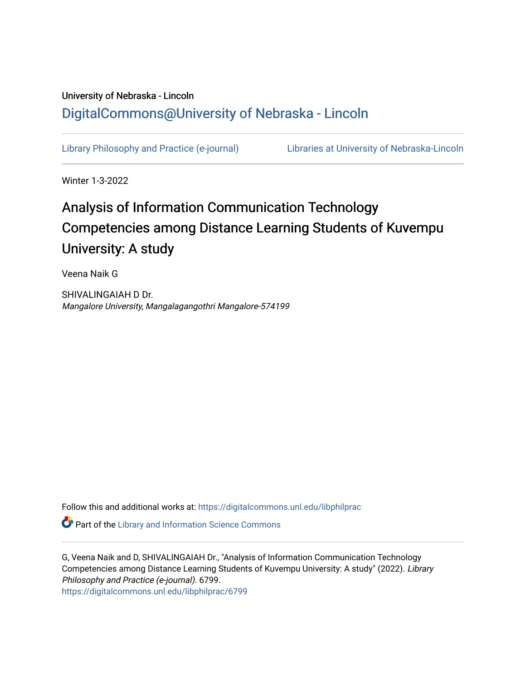# University of Nebraska - Lincoln [DigitalCommons@University of Nebraska - Lincoln](https://digitalcommons.unl.edu/)

[Library Philosophy and Practice \(e-journal\)](https://digitalcommons.unl.edu/libphilprac) [Libraries at University of Nebraska-Lincoln](https://digitalcommons.unl.edu/libraries) 

Winter 1-3-2022

# Analysis of Information Communication Technology Competencies among Distance Learning Students of Kuvempu University: A study

Veena Naik G

SHIVALINGAIAH D Dr. Mangalore University, Mangalagangothri Mangalore-574199

Follow this and additional works at: [https://digitalcommons.unl.edu/libphilprac](https://digitalcommons.unl.edu/libphilprac?utm_source=digitalcommons.unl.edu%2Flibphilprac%2F6799&utm_medium=PDF&utm_campaign=PDFCoverPages) 

**Part of the Library and Information Science Commons** 

G, Veena Naik and D, SHIVALINGAIAH Dr., "Analysis of Information Communication Technology Competencies among Distance Learning Students of Kuvempu University: A study" (2022). Library Philosophy and Practice (e-journal). 6799. [https://digitalcommons.unl.edu/libphilprac/6799](https://digitalcommons.unl.edu/libphilprac/6799?utm_source=digitalcommons.unl.edu%2Flibphilprac%2F6799&utm_medium=PDF&utm_campaign=PDFCoverPages)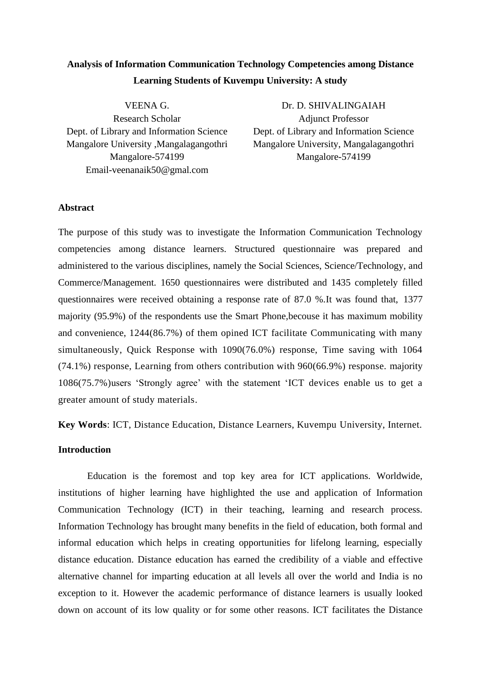# **Analysis of Information Communication Technology Competencies among Distance Learning Students of Kuvempu University: A study**

VEENA G. Research Scholar Dept. of Library and Information Science Mangalore University ,Mangalagangothri Mangalore-574199 Email-veenanaik50@gmal.com

Dr. D. SHIVALINGAIAH Adjunct Professor Dept. of Library and Information Science Mangalore University, Mangalagangothri Mangalore-574199

## **Abstract**

The purpose of this study was to investigate the Information Communication Technology competencies among distance learners. Structured questionnaire was prepared and administered to the various disciplines, namely the Social Sciences, Science/Technology, and Commerce/Management. 1650 questionnaires were distributed and 1435 completely filled questionnaires were received obtaining a response rate of 87.0 %.It was found that, 1377 majority (95.9%) of the respondents use the Smart Phone,becouse it has maximum mobility and convenience, 1244(86.7%) of them opined ICT facilitate Communicating with many simultaneously, Quick Response with 1090(76.0%) response, Time saving with 1064 (74.1%) response, Learning from others contribution with 960(66.9%) response. majority 1086(75.7%)users 'Strongly agree' with the statement 'ICT devices enable us to get a greater amount of study materials.

**Key Words**: ICT, Distance Education, Distance Learners, Kuvempu University, Internet.

## **Introduction**

Education is the foremost and top key area for ICT applications. Worldwide, institutions of higher learning have highlighted the use and application of Information Communication Technology (ICT) in their teaching, learning and research process. Information Technology has brought many benefits in the field of education, both formal and informal education which helps in creating opportunities for lifelong learning, especially distance education. Distance education has earned the credibility of a viable and effective alternative channel for imparting education at all levels all over the world and India is no exception to it. However the academic performance of distance learners is usually looked down on account of its low quality or for some other reasons. ICT facilitates the Distance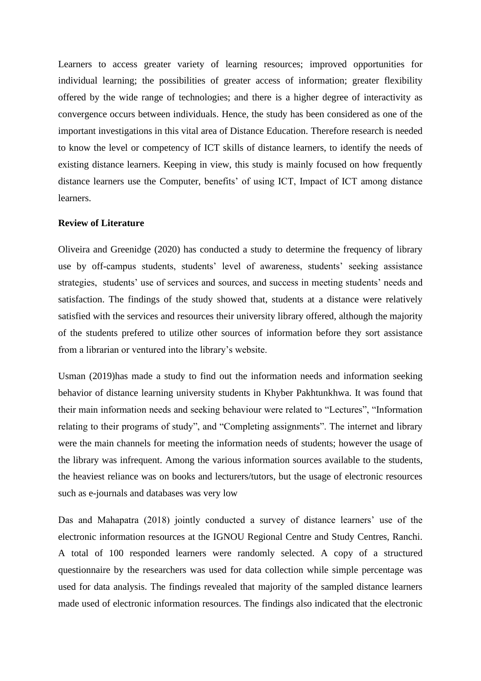Learners to access greater variety of learning resources; improved opportunities for individual learning; the possibilities of greater access of information; greater flexibility offered by the wide range of technologies; and there is a higher degree of interactivity as convergence occurs between individuals. Hence, the study has been considered as one of the important investigations in this vital area of Distance Education. Therefore research is needed to know the level or competency of ICT skills of distance learners, to identify the needs of existing distance learners. Keeping in view, this study is mainly focused on how frequently distance learners use the Computer, benefits' of using ICT, Impact of ICT among distance learners.

#### **Review of Literature**

Oliveira and Greenidge (2020) has conducted a study to determine the frequency of library use by off-campus students, students' level of awareness, students' seeking assistance strategies, students' use of services and sources, and success in meeting students' needs and satisfaction. The findings of the study showed that, students at a distance were relatively satisfied with the services and resources their university library offered, although the majority of the students prefered to utilize other sources of information before they sort assistance from a librarian or ventured into the library's website.

Usman (2019)has made a study to find out the information needs and information seeking behavior of distance learning university students in Khyber Pakhtunkhwa. It was found that their main information needs and seeking behaviour were related to "Lectures", "Information relating to their programs of study", and "Completing assignments". The internet and library were the main channels for meeting the information needs of students; however the usage of the library was infrequent. Among the various information sources available to the students, the heaviest reliance was on books and lecturers/tutors, but the usage of electronic resources such as e-journals and databases was very low

Das and Mahapatra (2018) jointly conducted a survey of distance learners' use of the electronic information resources at the IGNOU Regional Centre and Study Centres, Ranchi. A total of 100 responded learners were randomly selected. A copy of a structured questionnaire by the researchers was used for data collection while simple percentage was used for data analysis. The findings revealed that majority of the sampled distance learners made used of electronic information resources. The findings also indicated that the electronic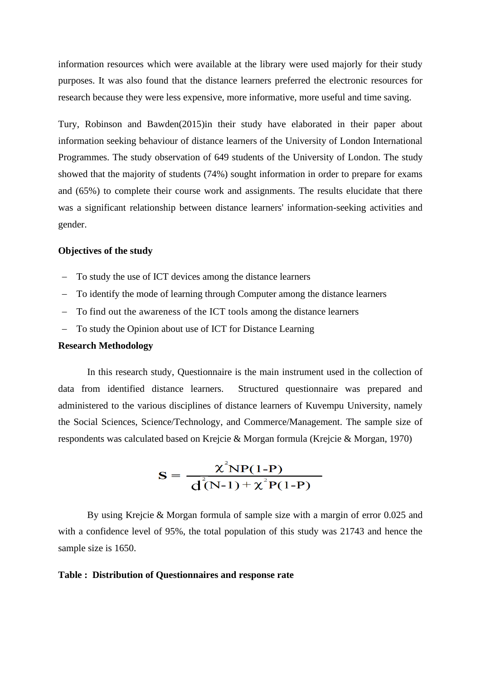information resources which were available at the library were used majorly for their study purposes. It was also found that the distance learners preferred the electronic resources for research because they were less expensive, more informative, more useful and time saving.

Tury, Robinson and Bawden(2015)in their study have elaborated in their paper about information seeking behaviour of distance learners of the University of London International Programmes. The study observation of 649 students of the University of London. The study showed that the majority of students (74%) sought information in order to prepare for exams and (65%) to complete their course work and assignments. The results elucidate that there was a significant relationship between distance learners' information-seeking activities and gender.

#### **Objectives of the study**

- To study the use of ICT devices among the distance learners
- − To identify the mode of learning through Computer among the distance learners
- − To find out the awareness of the ICT tools among the distance learners
- To study the Opinion about use of ICT for Distance Learning

#### **Research Methodology**

In this research study, Questionnaire is the main instrument used in the collection of data from identified distance learners. Structured questionnaire was prepared and administered to the various disciplines of distance learners of Kuvempu University, namely the Social Sciences, Science/Technology, and Commerce/Management. The sample size of respondents was calculated based on Krejcie & Morgan formula (Krejcie & Morgan, 1970)

$$
S = \frac{\chi^{2}NP(1-P)}{d^{2}(N-1) + \chi^{2}P(1-P)}
$$

By using Krejcie & Morgan formula of sample size with a margin of error 0.025 and with a confidence level of 95%, the total population of this study was 21743 and hence the sample size is 1650.

#### **Table : Distribution of Questionnaires and response rate**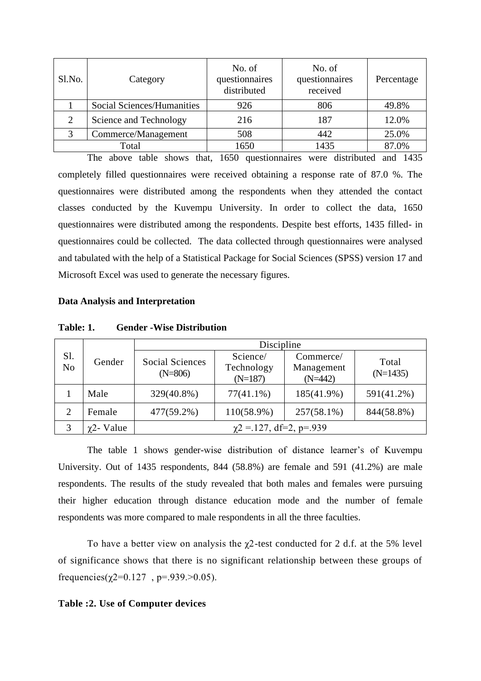| Sl.No. | Category                   | No. of<br>questionnaires<br>distributed | No. of<br>questionnaires<br>received | Percentage |
|--------|----------------------------|-----------------------------------------|--------------------------------------|------------|
|        | Social Sciences/Humanities | 926                                     | 806                                  | 49.8%      |
| ∍      | Science and Technology     | 216                                     | 187                                  | 12.0%      |
| 2      | Commerce/Management        | 508                                     | 442                                  | 25.0%      |
|        | Total                      | 1650                                    | 1435                                 | 87.0%      |

The above table shows that, 1650 questionnaires were distributed and 1435 completely filled questionnaires were received obtaining a response rate of 87.0 %. The questionnaires were distributed among the respondents when they attended the contact classes conducted by the Kuvempu University. In order to collect the data, 1650 questionnaires were distributed among the respondents. Despite best efforts, 1435 filled- in questionnaires could be collected. The data collected through questionnaires were analysed and tabulated with the help of a Statistical Package for Social Sciences (SPSS) version 17 and Microsoft Excel was used to generate the necessary figures.

#### **Data Analysis and Interpretation**

| Sl.<br>N <sub>o</sub>                   | Gender |                                     | Discipline                          |                                      |                     |
|-----------------------------------------|--------|-------------------------------------|-------------------------------------|--------------------------------------|---------------------|
|                                         |        | <b>Social Sciences</b><br>$(N=806)$ | Science/<br>Technology<br>$(N=187)$ | Commerce/<br>Management<br>$(N=442)$ | Total<br>$(N=1435)$ |
|                                         | Male   | 329(40.8%)                          | $77(41.1\%)$                        | 185(41.9%)                           | 591(41.2%)          |
| $\overline{2}$                          | Female | 477(59.2%)                          | $110(58.9\%)$                       | $257(58.1\%)$                        | 844(58.8%)          |
| $\gamma$ 2 = 127, df=2, p=.939<br>Value |        |                                     |                                     |                                      |                     |

**Table: 1. Gender -Wise Distribution**

The table 1 shows gender-wise distribution of distance learner's of Kuvempu University. Out of 1435 respondents, 844 (58.8%) are female and 591 (41.2%) are male respondents. The results of the study revealed that both males and females were pursuing their higher education through distance education mode and the number of female respondents was more compared to male respondents in all the three faculties.

To have a better view on analysis the  $\chi$ 2-test conducted for 2 d.f. at the 5% level of significance shows that there is no significant relationship between these groups of frequencies( $\gamma$ 2=0.127, p=.939.>0.05).

#### **Table :2. Use of Computer devices**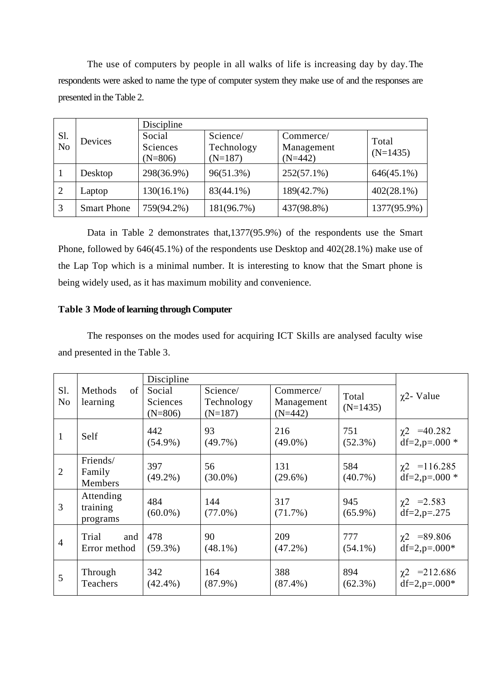The use of computers by people in all walks of life is increasing day by day.The respondents were asked to name the type of computer system they make use of and the responses are presented in the Table 2.

|           | Devices            | Discipline    |                         |               |               |
|-----------|--------------------|---------------|-------------------------|---------------|---------------|
| Sl.<br>No |                    | Social        | Science/                | Commerce/     | Total         |
|           |                    | Sciences      | Technology              | Management    | $(N=1435)$    |
|           |                    | $(N=806)$     | $(N=187)$               | $(N=442)$     |               |
|           | Desktop            | 298(36.9%)    | 96(51.3%)               | $252(57.1\%)$ | $646(45.1\%)$ |
|           | Laptop             | $130(16.1\%)$ | 189(42.7%)<br>83(44.1%) |               | $402(28.1\%)$ |
| 3         | <b>Smart Phone</b> | 759(94.2%)    | 181(96.7%)              | 437(98.8%)    | 1377(95.9%)   |

Data in Table 2 demonstrates that,1377(95.9%) of the respondents use the Smart Phone, followed by 646(45.1%) of the respondents use Desktop and 402(28.1%) make use of the Lap Top which is a minimal number. It is interesting to know that the Smart phone is being widely used, as it has maximum mobility and convenience.

## **Table 3 Mode of learning through Computer**

The responses on the modes used for acquiring ICT Skills are analysed faculty wise and presented in the Table 3.

|                       |                                   | Discipline                      |                                     |                                      |                     |                                          |
|-----------------------|-----------------------------------|---------------------------------|-------------------------------------|--------------------------------------|---------------------|------------------------------------------|
| Sl.<br>N <sub>o</sub> | Methods<br>of<br>learning         | Social<br>Sciences<br>$(N=806)$ | Science/<br>Technology<br>$(N=187)$ | Commerce/<br>Management<br>$(N=442)$ | Total<br>$(N=1435)$ | $\chi$ 2- Value                          |
| 1                     | Self                              | 442<br>$(54.9\%)$               | 93<br>$(49.7\%)$                    | 216<br>$(49.0\%)$                    | 751<br>$(52.3\%)$   | $\chi$ 2 = 40.282<br>$df=2$ , $p=.000*$  |
| $\overline{2}$        | Friends/<br>Family<br>Members     | 397<br>$(49.2\%)$               | 56<br>$(30.0\%)$                    | 131<br>$(29.6\%)$                    | 584<br>$(40.7\%)$   | $\chi$ 2 = 116.285<br>$df=2$ , $p=.000*$ |
| 3                     | Attending<br>training<br>programs | 484<br>$(60.0\%)$               | 144<br>$(77.0\%)$                   | 317<br>$(71.7\%)$                    | 945<br>$(65.9\%)$   | $\chi$ 2 = 2.583<br>$df=2, p=.275$       |
| $\overline{4}$        | Trial<br>and<br>Error method      | 478<br>$(59.3\%)$               | 90<br>$(48.1\%)$                    | 209<br>$(47.2\%)$                    | 777<br>$(54.1\%)$   | $\chi$ 2 = 89.806<br>$df=2$ , $p=.000*$  |
| 5                     | Through<br>Teachers               | 342<br>$(42.4\%)$               | 164<br>$(87.9\%)$                   | 388<br>$(87.4\%)$                    | 894<br>$(62.3\%)$   | $\chi$ 2 = 212.686<br>$df=2$ , $p=.000*$ |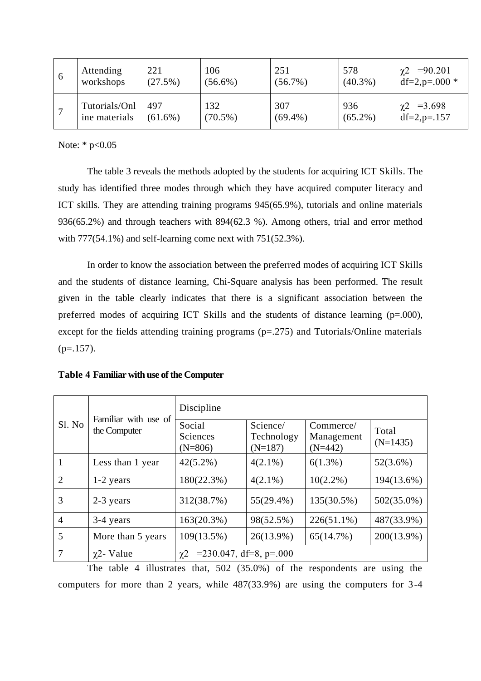| $\sigma$ | Attending     | 221        | 106        | 251        | 578        | $\chi$ 2 =90.201 |
|----------|---------------|------------|------------|------------|------------|------------------|
|          | workshops     | $(27.5\%)$ | $(56.6\%)$ | $(56.7\%)$ | $(40.3\%)$ | $df=2, p=.000*$  |
|          | Tutorials/Onl | 497        | 132        | 307        | 936        | $\chi^2$ =3.698  |
|          | ine materials | $(61.6\%)$ | $(70.5\%)$ | $(69.4\%)$ | $(65.2\%)$ | $df=2, p=.157$   |

Note: \* p<0.05

The table 3 reveals the methods adopted by the students for acquiring ICT Skills. The study has identified three modes through which they have acquired computer literacy and ICT skills. They are attending training programs 945(65.9%), tutorials and online materials 936(65.2%) and through teachers with 894(62.3 %). Among others, trial and error method with  $777(54.1\%)$  and self-learning come next with  $751(52.3\%)$ .

In order to know the association between the preferred modes of acquiring ICT Skills and the students of distance learning, Chi-Square analysis has been performed. The result given in the table clearly indicates that there is a significant association between the preferred modes of acquiring ICT Skills and the students of distance learning (p=.000), except for the fields attending training programs  $(p=0.275)$  and Tutorials/Online materials  $(p=.157)$ .

| Sl. No         | Familiar with use of<br>the Computer | Discipline                                        |                                     |                                      |                     |  |  |  |
|----------------|--------------------------------------|---------------------------------------------------|-------------------------------------|--------------------------------------|---------------------|--|--|--|
|                |                                      | Social<br>Sciences<br>$(N=806)$                   | Science/<br>Technology<br>$(N=187)$ | Commerce/<br>Management<br>$(N=442)$ | Total<br>$(N=1435)$ |  |  |  |
|                | Less than 1 year                     | $42(5.2\%)$                                       | $4(2.1\%)$                          | $6(1.3\%)$                           | $52(3.6\%)$         |  |  |  |
| $\overline{2}$ | $1-2$ years                          | 180(22.3%)                                        | $4(2.1\%)$                          | $10(2.2\%)$                          | 194(13.6%)          |  |  |  |
| 3              | 2-3 years                            | 312(38.7%)                                        | $55(29.4\%)$                        | 135(30.5%)                           | $502(35.0\%)$       |  |  |  |
| $\overline{4}$ | 3-4 years                            | 163(20.3%)                                        | 98(52.5%)                           | $226(51.1\%)$                        | 487(33.9%)          |  |  |  |
| 5              | More than 5 years                    | 109(13.5%)                                        | $26(13.9\%)$                        | 65(14.7%)                            | 200(13.9%)          |  |  |  |
|                | $\gamma$ 2- Value                    | $= 230.047$ , df=8, p=.000<br>$\chi$ <sup>2</sup> |                                     |                                      |                     |  |  |  |

The table 4 illustrates that, 502 (35.0%) of the respondents are using the computers for more than 2 years, while 487(33.9%) are using the computers for 3-4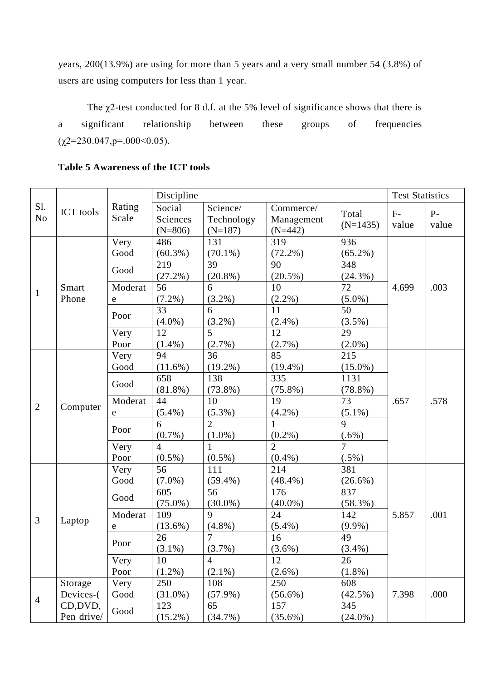years, 200(13.9%) are using for more than 5 years and a very small number 54 (3.8%) of users are using computers for less than 1 year.

The  $\chi$ 2-test conducted for 8 d.f. at the 5% level of significance shows that there is a significant relationship between these groups of frequencies  $(\chi2=230.047, p=.000<0.05)$ .

|                |                  |           | Discipline     |                |                |                | <b>Test Statistics</b> |       |
|----------------|------------------|-----------|----------------|----------------|----------------|----------------|------------------------|-------|
| Sl.            | <b>ICT</b> tools | Rating    | Social         | Science/       | Commerce/      | Total          | $F-$                   | $P -$ |
| N <sub>o</sub> |                  | Scale     | Sciences       | Technology     | Management     | $(N=1435)$     | value                  | value |
|                |                  |           | $(N=806)$      | $(N=187)$      | $(N=442)$      |                |                        |       |
|                |                  | Very      | 486            | 131            | 319            | 936            |                        |       |
|                |                  | Good      | $(60.3\%)$     | $(70.1\%)$     | $(72.2\%)$     | $(65.2\%)$     |                        |       |
|                |                  | Good      | 219            | 39             | 90             | 348            |                        |       |
|                |                  |           | $(27.2\%)$     | $(20.8\%)$     | $(20.5\%)$     | $(24.3\%)$     |                        |       |
| $\mathbf{1}$   | Smart            | Moderat   | 56             | 6              | 10             | 72             | 4.699                  | .003  |
|                | Phone            | ${\bf e}$ | $(7.2\%)$      | $(3.2\%)$      | $(2.2\%)$      | $(5.0\%)$      |                        |       |
|                |                  | Poor      | 33             | 6              | 11             | 50             |                        |       |
|                |                  |           | $(4.0\%)$      | $(3.2\%)$      | $(2.4\%)$      | $(3.5\%)$      |                        |       |
|                |                  | Very      | 12             | 5              | 12             | 29             |                        |       |
|                |                  | Poor      | $(1.4\%)$      | $(2.7\%)$      | $(2.7\%)$      | $(2.0\%)$      |                        |       |
|                |                  | Very      | 94             | 36             | 85             | 215            |                        |       |
|                |                  | Good      | $(11.6\%)$     | $(19.2\%)$     | $(19.4\%)$     | $(15.0\%)$     |                        |       |
|                |                  | Good      | 658            | 138            | 335            | 1131           |                        |       |
|                | Computer         |           | $(81.8\%)$     | $(73.8\%)$     | $(75.8\%)$     | $(78.8\%)$     |                        |       |
| $\overline{2}$ |                  | Moderat   | 44             | 10             | 19             | 73             | .657                   | .578  |
|                |                  | e         | $(5.4\%)$      | $(5.3\%)$      | $(4.2\%)$      | $(5.1\%)$      |                        |       |
|                |                  | Poor      | 6              | $\overline{2}$ | $\mathbf{1}$   | 9              |                        |       |
|                |                  |           | $(0.7\%)$      | $(1.0\%)$      | $(0.2\%)$      | $(.6\%)$       |                        |       |
|                |                  | Very      | $\overline{4}$ |                | $\overline{2}$ | $\overline{7}$ |                        |       |
|                |                  | Poor      | $(0.5\%)$      | $(0.5\%)$      | $(0.4\%)$      | $(.5\%)$       |                        |       |
|                |                  | Very      | 56             | 111            | 214            | 381            |                        |       |
|                |                  | Good      | $(7.0\%)$      | $(59.4\%)$     | (48.4%)        | $(26.6\%)$     |                        |       |
|                |                  | Good      | 605            | 56             | 176            | 837            |                        |       |
|                |                  |           | $(75.0\%)$     | $(30.0\%)$     | $(40.0\%)$     | $(58.3\%)$     |                        |       |
| $\overline{3}$ | Laptop           | Moderat   | 109            | 9              | 24             | 142            | 5.857                  | .001  |
|                |                  | e         | $(13.6\%)$     | $(4.8\%)$      | $(5.4\%)$      | $(9.9\%)$      |                        |       |
|                |                  | Poor      | 26             | $\overline{7}$ | 16             | 49             |                        |       |
|                |                  |           | $(3.1\%)$      | (3.7%)         | $(3.6\%)$      | $(3.4\%)$      |                        |       |
|                |                  | Very      | 10             | $\overline{4}$ | 12             | 26             |                        |       |
|                |                  | Poor      | $(1.2\%)$      | $(2.1\%)$      | $(2.6\%)$      | $(1.8\%)$      |                        |       |
|                | Storage          | Very      | 250            | 108            | 250            | 608            |                        |       |
| $\overline{4}$ | Devices-(        | Good      | $(31.0\%)$     | $(57.9\%)$     | $(56.6\%)$     | $(42.5\%)$     | 7.398                  | .000  |
|                | CD, DVD,         | Good      | 123            | 65             | 157            | 345            |                        |       |
|                | Pen drive/       |           | $(15.2\%)$     | $(34.7\%)$     | $(35.6\%)$     | $(24.0\%)$     |                        |       |

# **Table 5 Awareness of the ICT tools**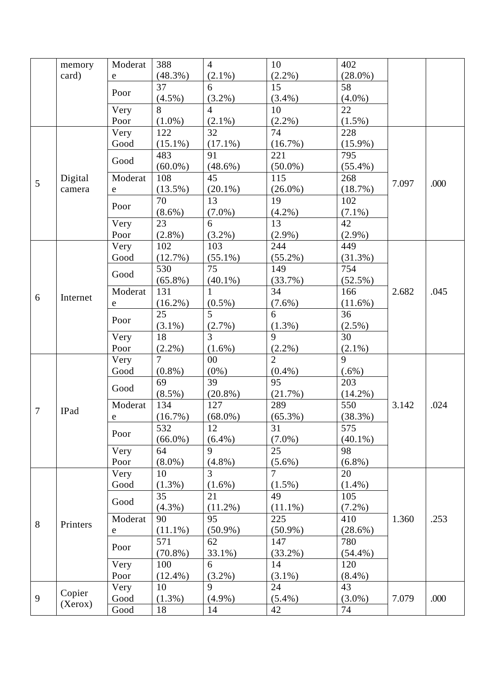|                | memory   | Moderat     | 388            | $\overline{4}$ | 10             | 402        |       |      |
|----------------|----------|-------------|----------------|----------------|----------------|------------|-------|------|
|                | card)    | e           | $(48.3\%)$     | $(2.1\%)$      | $(2.2\%)$      | $(28.0\%)$ |       |      |
|                |          | Poor        | 37             | 6              | 15             | 58         |       |      |
|                |          |             | $(4.5\%)$      | $(3.2\%)$      | $(3.4\%)$      | $(4.0\%)$  |       |      |
|                |          | Very        | 8              | $\overline{4}$ | 10             | 22         |       |      |
|                |          | Poor        | $(1.0\%)$      | $(2.1\%)$      | $(2.2\%)$      | $(1.5\%)$  |       |      |
|                |          | Very        | 122            | 32             | 74             | 228        |       |      |
|                |          | Good        | $(15.1\%)$     | $(17.1\%)$     | (16.7%)        | $(15.9\%)$ |       |      |
|                |          | Good        | 483            | 91             | 221            | 795        |       |      |
|                |          |             | $(60.0\%)$     | $(48.6\%)$     | $(50.0\%)$     | $(55.4\%)$ |       |      |
| 5              | Digital  | Moderat     | 108            | 45             | 115            | 268        | 7.097 | .000 |
|                | camera   | e           | $(13.5\%)$     | $(20.1\%)$     | $(26.0\%)$     | (18.7%)    |       |      |
|                |          | Poor        | 70             | 13             | 19             | 102        |       |      |
|                |          |             | $(8.6\%)$      | $(7.0\%)$      | $(4.2\%)$      | $(7.1\%)$  |       |      |
|                |          | Very        | 23             | 6              | 13             | 42         |       |      |
|                |          | Poor        | $(2.8\%)$      | $(3.2\%)$      | $(2.9\%)$      | $(2.9\%)$  |       |      |
|                |          | Very        | 102            | 103            | 244            | 449        |       |      |
|                |          | Good        | (12.7%)        | $(55.1\%)$     | $(55.2\%)$     | $(31.3\%)$ |       |      |
|                |          | Good        | 530            | 75             | 149            | 754        |       |      |
|                |          |             | $(65.8\%)$     | $(40.1\%)$     | (33.7%)        | $(52.5\%)$ |       |      |
| 6              | Internet | Moderat     | 131            | 1              | 34             | 166        | 2.682 | .045 |
|                |          | $\mathbf e$ | $(16.2\%)$     | $(0.5\%)$      | $(7.6\%)$      | $(11.6\%)$ |       |      |
|                |          | Poor        | 25             | 5              | 6              | 36         |       |      |
|                |          |             | $(3.1\%)$      | (2.7%)         | $(1.3\%)$      | $(2.5\%)$  |       |      |
|                |          | Very        | 18             | 3              | 9              | 30         |       |      |
|                |          | Poor        | $(2.2\%)$      | $(1.6\%)$      | $(2.2\%)$      | $(2.1\%)$  |       |      |
|                |          | Very        | $\overline{7}$ | 00             | $\overline{2}$ | 9          |       |      |
|                |          | Good        | $(0.8\%)$      | $(0\%)$        | $(0.4\%)$      | $(.6\%)$   |       |      |
|                |          | Good        | 69             | 39             | 95             | 203        |       |      |
|                |          |             | $(8.5\%)$      | $(20.8\%)$     | (21.7%)        | $(14.2\%)$ |       |      |
| $\overline{7}$ | IPad     | Moderat     | 134            | 127            | 289            | 550        | 3.142 | .024 |
|                |          | ${\bf e}$   | (16.7%)        | $(68.0\%)$     | $(65.3\%)$     | $(38.3\%)$ |       |      |
|                |          | Poor        | 532            | 12             | 31             | 575        |       |      |
|                |          |             | $(66.0\%)$     | $(6.4\%)$      | $(7.0\%)$      | $(40.1\%)$ |       |      |
|                |          | Very        | 64             | 9              | 25             | 98         |       |      |
|                |          | Poor        | $(8.0\%)$      | $(4.8\%)$      | $(5.6\%)$      | $(6.8\%)$  |       |      |
|                |          | Very        | 10             | $\overline{3}$ | $\overline{7}$ | 20         |       |      |
|                |          | Good        | $(1.3\%)$      | $(1.6\%)$      | $(1.5\%)$      | $(1.4\%)$  |       |      |
|                |          | Good        | 35             | 21             | 49             | 105        |       |      |
|                |          |             | $(4.3\%)$      | $(11.2\%)$     | $(11.1\%)$     | $(7.2\%)$  |       |      |
| 8              | Printers | Moderat     | 90             | 95             | 225            | 410        | 1.360 | .253 |
|                |          | e           | $(11.1\%)$     | $(50.9\%)$     | $(50.9\%)$     | $(28.6\%)$ |       |      |
|                |          | Poor        | 571            | 62             | 147            | 780        |       |      |
|                |          |             | $(70.8\%)$     | 33.1%)         | $(33.2\%)$     | $(54.4\%)$ |       |      |
|                |          | Very        | 100            | 6              | 14             | 120        |       |      |
|                |          | Poor        | $(12.4\%)$     | $(3.2\%)$      | $(3.1\%)$      | $(8.4\%)$  |       |      |
|                | Copier   | Very        | 10             | 9              | 24             | 43         |       |      |
| 9              | (Xerox)  | Good        | $(1.3\%)$      | $(4.9\%)$      | $(5.4\%)$      | $(3.0\%)$  | 7.079 | .000 |
|                |          | Good        | 18             | 14             | 42             | 74         |       |      |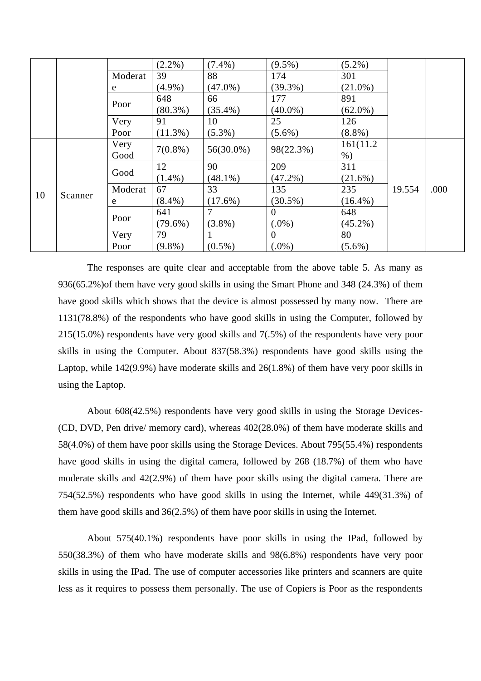|    |         |         | $(2.2\%)$  | $(7.4\%)$    | $(9.5\%)$      | $(5.2\%)$  |        |      |
|----|---------|---------|------------|--------------|----------------|------------|--------|------|
|    |         | Moderat | 39         | 88           | 174            | 301        |        |      |
|    |         | e       | $(4.9\%)$  | $(47.0\%)$   | $(39.3\%)$     | $(21.0\%)$ |        |      |
|    |         | Poor    | 648        | 66           | 177            | 891        |        |      |
|    |         |         | $(80.3\%)$ | $(35.4\%)$   | $(40.0\%)$     | $(62.0\%)$ |        |      |
|    |         | Very    | 91         | 10           | 25             | 126        |        |      |
|    |         | Poor    | $(11.3\%)$ | $(5.3\%)$    | $(5.6\%)$      | $(8.8\%)$  |        |      |
|    |         | Very    | $7(0.8\%)$ | $56(30.0\%)$ | 98(22.3%)      | 161(11.2)  |        |      |
|    |         | Good    |            |              |                | $%$ )      |        |      |
|    |         | Good    | 12         | 90           | 209            | 311        |        |      |
|    |         |         | $(1.4\%)$  | $(48.1\%)$   | $(47.2\%)$     | $(21.6\%)$ |        |      |
| 10 | Scanner | Moderat | 67         | 33           | 135            | 235        | 19.554 | .000 |
|    |         | e       | $(8.4\%)$  | $(17.6\%)$   | $(30.5\%)$     | $(16.4\%)$ |        |      |
|    |         | Poor    | 641        |              | $\overline{0}$ | 648        |        |      |
|    |         |         | $(79.6\%)$ | $(3.8\%)$    | $(.0\%)$       | $(45.2\%)$ |        |      |
|    |         | Very    | 79         |              | $\overline{0}$ | 80         |        |      |
|    |         | Poor    | $(9.8\%)$  | $(0.5\%)$    | $(.0\%)$       | $(5.6\%)$  |        |      |

The responses are quite clear and acceptable from the above table 5. As many as 936(65.2%)of them have very good skills in using the Smart Phone and 348 (24.3%) of them have good skills which shows that the device is almost possessed by many now. There are 1131(78.8%) of the respondents who have good skills in using the Computer, followed by 215(15.0%) respondents have very good skills and 7(.5%) of the respondents have very poor skills in using the Computer. About 837(58.3%) respondents have good skills using the Laptop, while 142(9.9%) have moderate skills and 26(1.8%) of them have very poor skills in using the Laptop.

About 608(42.5%) respondents have very good skills in using the Storage Devices- (CD, DVD, Pen drive/ memory card), whereas 402(28.0%) of them have moderate skills and 58(4.0%) of them have poor skills using the Storage Devices. About 795(55.4%) respondents have good skills in using the digital camera, followed by 268 (18.7%) of them who have moderate skills and 42(2.9%) of them have poor skills using the digital camera. There are 754(52.5%) respondents who have good skills in using the Internet, while 449(31.3%) of them have good skills and 36(2.5%) of them have poor skills in using the Internet.

About 575(40.1%) respondents have poor skills in using the IPad, followed by 550(38.3%) of them who have moderate skills and 98(6.8%) respondents have very poor skills in using the IPad. The use of computer accessories like printers and scanners are quite less as it requires to possess them personally. The use of Copiers is Poor as the respondents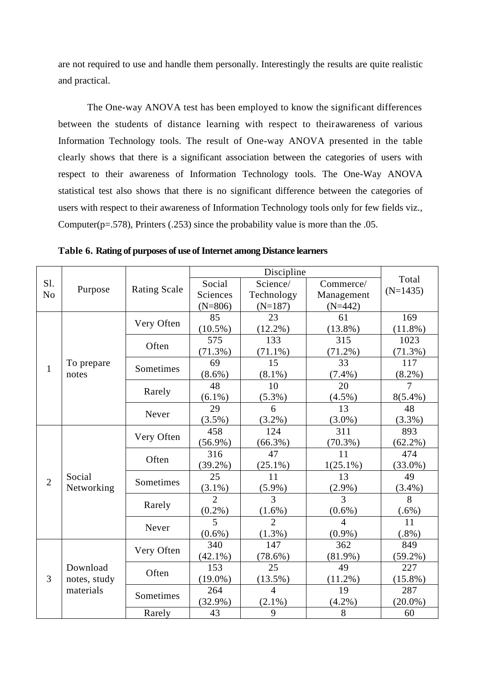are not required to use and handle them personally. Interestingly the results are quite realistic and practical.

The One-way ANOVA test has been employed to know the significant differences between the students of distance learning with respect to theirawareness of various Information Technology tools. The result of One-way ANOVA presented in the table clearly shows that there is a significant association between the categories of users with respect to their awareness of Information Technology tools. The One-Way ANOVA statistical test also shows that there is no significant difference between the categories of users with respect to their awareness of Information Technology tools only for few fields viz., Computer( $p=.578$ ), Printers (.253) since the probability value is more than the .05.

|                |              |                     |                | Discipline     |                |            |
|----------------|--------------|---------------------|----------------|----------------|----------------|------------|
| Sl.            |              | <b>Rating Scale</b> | Social         | Science/       | Commerce/      | Total      |
| N <sub>o</sub> | Purpose      |                     | Sciences       | Technology     | Management     | $(N=1435)$ |
|                |              | $(N=806)$           | $(N=187)$      | $(N=442)$      |                |            |
|                |              | Very Often          | 85             | 23             | 61             | 169        |
|                |              |                     | $(10.5\%)$     | $(12.2\%)$     | $(13.8\%)$     | $(11.8\%)$ |
|                |              | Often               | 575            | 133            | 315            | 1023       |
|                |              |                     | $(71.3\%)$     | $(71.1\%)$     | $(71.2\%)$     | $(71.3\%)$ |
| 1              | To prepare   | Sometimes           | 69             | 15             | 33             | 117        |
|                | notes        |                     | $(8.6\%)$      | $(8.1\%)$      | $(7.4\%)$      | $(8.2\%)$  |
|                |              | Rarely              | 48             | 10             | 20             | 7          |
|                |              |                     | $(6.1\%)$      | $(5.3\%)$      | $(4.5\%)$      | $8(5.4\%)$ |
|                |              | Never               | 29             | 6              | 13             | 48         |
|                |              |                     | $(3.5\%)$      | $(3.2\%)$      | $(3.0\%)$      | $(3.3\%)$  |
|                |              | Very Often          | 458            | 124            | 311            | 893        |
|                |              |                     | $(56.9\%)$     | $(66.3\%)$     | $(70.3\%)$     | $(62.2\%)$ |
|                |              | Often               | 316            | 47             | 11             | 474        |
|                |              |                     | $(39.2\%)$     | $(25.1\%)$     | $1(25.1\%)$    | $(33.0\%)$ |
| $\overline{2}$ | Social       | Sometimes           | 25             | 11             | 13             | 49         |
|                | Networking   |                     | $(3.1\%)$      | $(5.9\%)$      | $(2.9\%)$      | $(3.4\%)$  |
|                |              | Rarely              | $\overline{2}$ | 3              | 3              | 8          |
|                |              |                     | $(0.2\%)$      | $(1.6\%)$      | $(0.6\%)$      | $(.6\%)$   |
|                |              | Never               | 5              | $\overline{2}$ | $\overline{4}$ | 11         |
|                |              |                     | $(0.6\%)$      | (1.3%)         | $(0.9\%)$      | $(.8\%)$   |
|                |              | Very Often          | 340            | 147            | 362            | 849        |
|                |              |                     | $(42.1\%)$     | $(78.6\%)$     | $(81.9\%)$     | $(59.2\%)$ |
|                | Download     | Often               | 153            | 25             | 49             | 227        |
| $\overline{3}$ | notes, study |                     | $(19.0\%)$     | $(13.5\%)$     | $(11.2\%)$     | $(15.8\%)$ |
|                | materials    | Sometimes           | 264            | $\overline{4}$ | 19             | 287        |
|                |              |                     | $(32.9\%)$     | $(2.1\%)$      | $(4.2\%)$      | $(20.0\%)$ |
|                |              | Rarely              | 43             | 9              | 8              | 60         |

**Table 6. Rating of purposes of use of Internet among Distance learners**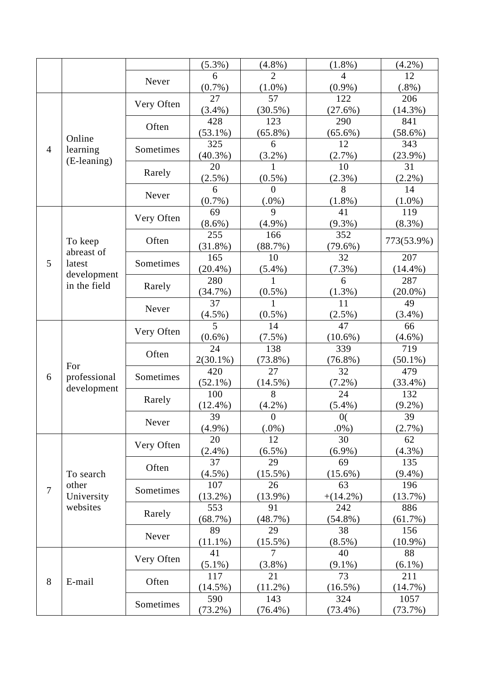|                |              |            | $(5.3\%)$   | $(4.8\%)$      | $(1.8\%)$      | $(4.2\%)$  |
|----------------|--------------|------------|-------------|----------------|----------------|------------|
|                |              |            | 6           | $\overline{2}$ | $\overline{4}$ | 12         |
|                |              | Never      | $(0.7\%)$   | $(1.0\%)$      | $(0.9\%)$      | $(.8\%)$   |
|                |              |            | 27          | 57             | 122            | 206        |
|                |              | Very Often | $(3.4\%)$   | $(30.5\%)$     | (27.6%)        | $(14.3\%)$ |
|                |              |            | 428         | 123            | 290            | 841        |
|                |              | Often      | $(53.1\%)$  | $(65.8\%)$     | $(65.6\%)$     | $(58.6\%)$ |
|                | Online       |            | 325         | 6              | 12             | 343        |
| $\overline{4}$ | learning     | Sometimes  | $(40.3\%)$  | $(3.2\%)$      | $(2.7\%)$      | $(23.9\%)$ |
|                | (E-leaning)  |            | 20          | 1              | 10             | 31         |
|                |              | Rarely     | $(2.5\%)$   | $(0.5\%)$      | $(2.3\%)$      | (2.2%)     |
|                |              |            | 6           | $\Omega$       | 8              | 14         |
|                |              | Never      | $(0.7\%)$   | $(.0\%)$       | $(1.8\%)$      | $(1.0\%)$  |
|                |              |            | 69          | 9              | 41             | 119        |
|                |              | Very Often | $(8.6\%)$   | $(4.9\%)$      | $(9.3\%)$      | $(8.3\%)$  |
|                |              |            | 255         | 166            | 352            |            |
|                | To keep      | Often      | $(31.8\%)$  | (88.7%)        | $(79.6\%)$     | 773(53.9%) |
|                | abreast of   |            | 165         | 10             | 32             | 207        |
| 5              | latest       | Sometimes  | $(20.4\%)$  | $(5.4\%)$      | $(7.3\%)$      | $(14.4\%)$ |
|                | development  |            | 280         | 1              | 6              | 287        |
|                | in the field | Rarely     | $(34.7\%)$  | $(0.5\%)$      | (1.3%)         | $(20.0\%)$ |
|                |              | Never      | 37          | 1              | 11             | 49         |
|                |              |            | $(4.5\%)$   | $(0.5\%)$      | $(2.5\%)$      | $(3.4\%)$  |
|                |              |            | 5           | 14             | 47             | 66         |
|                |              | Very Often | $(0.6\%)$   | $(7.5\%)$      | $(10.6\%)$     | $(4.6\%)$  |
|                |              | Often      | 24          | 138            | 339            | 719        |
|                |              |            | $2(30.1\%)$ | $(73.8\%)$     | $(76.8\%)$     | $(50.1\%)$ |
|                | For          |            | 420         | 27             | 32             | 479        |
| 6              | professional | Sometimes  | $(52.1\%)$  | $(14.5\%)$     | $(7.2\%)$      | (33.4%)    |
|                | development  |            | 100         | 8              | 24             | 132        |
|                |              | Rarely     | $(12.4\%)$  | $(4.2\%)$      | $(5.4\%)$      | $(9.2\%)$  |
|                |              |            | 39          | $\overline{0}$ | 0(             | 39         |
|                |              | Never      | $(4.9\%)$   | $(.0\%)$       | $.0\%$ )       | (2.7%)     |
|                |              |            | 20          | 12             | 30             | 62         |
|                |              | Very Often | $(2.4\%)$   | $(6.5\%)$      | $(6.9\%)$      | $(4.3\%)$  |
|                |              |            | 37          | 29             | 69             | 135        |
|                | To search    | Often      | $(4.5\%)$   | $(15.5\%)$     | $(15.6\%)$     | $(9.4\%)$  |
|                | other        |            | 107         | 26             | 63             | 196        |
| $\overline{7}$ | University   | Sometimes  | $(13.2\%)$  | $(13.9\%)$     | $+(14.2\%)$    | (13.7%)    |
|                | websites     |            | 553         | 91             | 242            | 886        |
|                |              | Rarely     | (68.7%)     | (48.7%)        | $(54.8\%)$     | (61.7%)    |
|                |              |            | 89          | 29             | 38             | 156        |
|                |              | Never      | $(11.1\%)$  | $(15.5\%)$     | $(8.5\%)$      | $(10.9\%)$ |
|                |              |            | 41          | 7              | 40             | 88         |
|                |              | Very Often | $(5.1\%)$   | $(3.8\%)$      | $(9.1\%)$      | $(6.1\%)$  |
|                |              |            | 117         | 21             | 73             | 211        |
| 8              | E-mail       | Often      | $(14.5\%)$  | $(11.2\%)$     | $(16.5\%)$     | $(14.7\%)$ |
|                |              |            | 590         | 143            | 324            | 1057       |
|                |              | Sometimes  | $(73.2\%)$  | $(76.4\%)$     | $(73.4\%)$     | $(73.7\%)$ |
|                |              |            |             |                |                |            |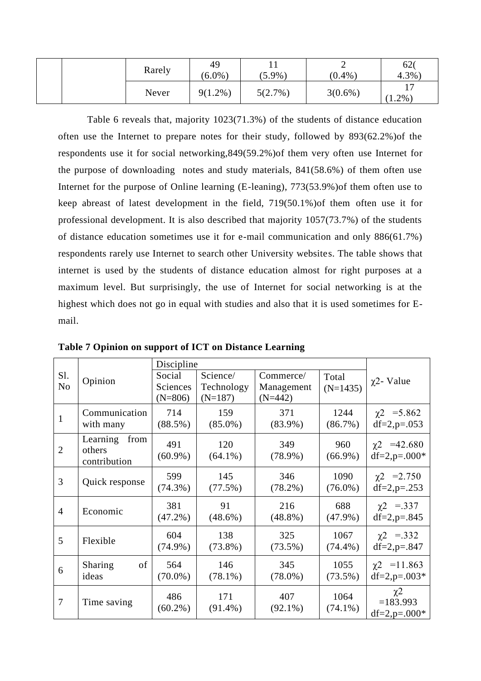| Rarely | 49<br>$(6.0\%$ | $(5.9\%)$ | $(0.4\%)$  | 62 <sub>0</sub><br>4.3%     |
|--------|----------------|-----------|------------|-----------------------------|
| Never  | $9(1.2\%)$     | 5(2.7%)   | $3(0.6\%)$ | $\overline{ }$<br>$1.2\%$ ) |

Table 6 reveals that, majority 1023(71.3%) of the students of distance education often use the Internet to prepare notes for their study, followed by 893(62.2%)of the respondents use it for social networking,849(59.2%)of them very often use Internet for the purpose of downloading notes and study materials, 841(58.6%) of them often use Internet for the purpose of Online learning (E-leaning), 773(53.9%)of them often use to keep abreast of latest development in the field, 719(50.1%)of them often use it for professional development. It is also described that majority 1057(73.7%) of the students of distance education sometimes use it for e-mail communication and only 886(61.7%) respondents rarely use Internet to search other University websites. The table shows that internet is used by the students of distance education almost for right purposes at a maximum level. But surprisingly, the use of Internet for social networking is at the highest which does not go in equal with studies and also that it is used sometimes for Email.

|                       |                                            | Discipline         |                         |                         |                    |                                                         |
|-----------------------|--------------------------------------------|--------------------|-------------------------|-------------------------|--------------------|---------------------------------------------------------|
| Sl.<br>N <sub>o</sub> | Opinion                                    | Social<br>Sciences | Science/                | Commerce/               | Total              | $\chi$ 2- Value                                         |
|                       |                                            | $(N=806)$          | Technology<br>$(N=187)$ | Management<br>$(N=442)$ | $(N=1435)$         |                                                         |
| 1                     | Communication                              | 714                | 159                     | 371                     | 1244               | $\chi$ 2 = 5.862                                        |
|                       | with many                                  | $(88.5\%)$         | $(85.0\%)$              | $(83.9\%)$              | $(86.7\%)$         | $df=2, p=.053$                                          |
| $\overline{2}$        | Learning<br>from<br>others<br>contribution | 491<br>$(60.9\%)$  | 120<br>$(64.1\%)$       | 349<br>$(78.9\%)$       | 960<br>$(66.9\%)$  | $\chi$ 2 = 42.680<br>$df=2$ , $p=.000*$                 |
| 3                     | Quick response                             | 599<br>$(74.3\%)$  | 145<br>$(77.5\%)$       | 346<br>$(78.2\%)$       | 1090<br>$(76.0\%)$ | $\chi$ 2 = 2.750<br>$df=2, p=.253$                      |
| $\overline{4}$        | Economic                                   | 381<br>$(47.2\%)$  | 91<br>$(48.6\%)$        | 216<br>$(48.8\%)$       | 688<br>$(47.9\%)$  | $\chi$ 2 = 337<br>$df=2, p=.845$                        |
| 5                     | Flexible                                   | 604<br>$(74.9\%)$  | 138<br>$(73.8\%)$       | 325<br>$(73.5\%)$       | 1067<br>$(74.4\%)$ | $\chi$ 2 = 332<br>$df=2, p=.847$                        |
| 6                     | Sharing<br>of<br>ideas                     | 564<br>$(70.0\%)$  | 146<br>$(78.1\%)$       | 345<br>$(78.0\%)$       | 1055<br>$(73.5\%)$ | $\chi$ 2 = 11.863<br>$df=2$ , $p=.003*$                 |
| 7                     | Time saving                                | 486<br>$(60.2\%)$  | 171<br>$(91.4\%)$       | 407<br>$(92.1\%)$       | 1064<br>$(74.1\%)$ | $\chi$ <sup>2</sup><br>$=183.993$<br>$df=2$ , $p=.000*$ |

**Table 7 Opinion on support of ICT on Distance Learning**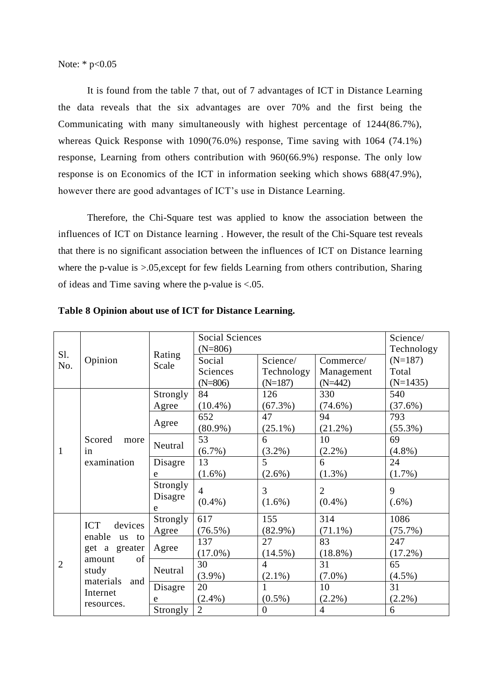Note: \*  $p<0.05$ 

It is found from the table 7 that, out of 7 advantages of ICT in Distance Learning the data reveals that the six advantages are over 70% and the first being the Communicating with many simultaneously with highest percentage of 1244(86.7%), whereas Quick Response with 1090(76.0%) response, Time saving with 1064 (74.1%) response, Learning from others contribution with 960(66.9%) response. The only low response is on Economics of the ICT in information seeking which shows 688(47.9%), however there are good advantages of ICT's use in Distance Learning.

Therefore, the Chi-Square test was applied to know the association between the influences of ICT on Distance learning . However, the result of the Chi-Square test reveals that there is no significant association between the influences of ICT on Distance learning where the p-value is  $>0.05$ , except for few fields Learning from others contribution, Sharing of ideas and Time saving where the p-value is  $\leq 0.05$ .

|                |                                                           | Rating   | <b>Social Sciences</b> | Science/       |                |            |
|----------------|-----------------------------------------------------------|----------|------------------------|----------------|----------------|------------|
| Sl.<br>No.     |                                                           |          | $(N=806)$              | Technology     |                |            |
|                | Opinion                                                   | Scale    | Social                 | Science/       | Commerce/      | $(N=187)$  |
|                |                                                           |          | Sciences               | Technology     | Management     | Total      |
|                |                                                           |          | $(N=806)$              | $(N=187)$      | $(N=442)$      | $(N=1435)$ |
|                |                                                           | Strongly | 84                     | 126            | 330            | 540        |
|                |                                                           | Agree    | $(10.4\%)$             | $(67.3\%)$     | $(74.6\%)$     | $(37.6\%)$ |
|                |                                                           |          | 652                    | 47             | 94             | 793        |
|                |                                                           | Agree    | $(80.9\%)$             | $(25.1\%)$     | $(21.2\%)$     | $(55.3\%)$ |
|                | Scored<br>more                                            |          | 53                     | 6              | 10             | 69         |
| $\mathbf{1}$   | in<br>examination                                         | Neutral  | $(6.7\%)$              | $(3.2\%)$      | $(2.2\%)$      | $(4.8\%)$  |
|                |                                                           | Disagre  | 13                     | 5              | 6              | 24         |
|                |                                                           | e        | $(1.6\%)$              | $(2.6\%)$      | $(1.3\%)$      | $(1.7\%)$  |
|                |                                                           | Strongly | $\overline{4}$         | $\overline{3}$ | $\overline{2}$ | 9          |
|                |                                                           | Disagre  | $(0.4\%)$              | $(1.6\%)$      | $(0.4\%)$      | $(.6\%)$   |
|                |                                                           | e        |                        |                |                |            |
|                |                                                           | Strongly | 617                    | 155            | 314            | 1086       |
|                | devices<br><b>ICT</b><br>enable<br>us to<br>get a greater | Agree    | $(76.5\%)$             | $(82.9\%)$     | $(71.1\%)$     | $(75.7\%)$ |
|                |                                                           |          | 137                    | 27             | 83             | 247        |
|                |                                                           | Agree    | $(17.0\%)$             | $(14.5\%)$     | $(18.8\%)$     | $(17.2\%)$ |
| $\overline{2}$ | of<br>amount                                              |          | 30                     | $\overline{4}$ | 31             | 65         |
|                | study                                                     | Neutral  | $(3.9\%)$              | $(2.1\%)$      | $(7.0\%)$      | $(4.5\%)$  |
|                | materials<br>and                                          | Disagre  | 20                     |                | 10             | 31         |
|                | Internet<br>resources.                                    | e        | $(2.4\%)$              | $(0.5\%)$      | $(2.2\%)$      | $(2.2\%)$  |
|                |                                                           | Strongly | 2                      | $\overline{0}$ | $\overline{4}$ | 6          |

**Table 8 Opinion about use of ICT for Distance Learning.**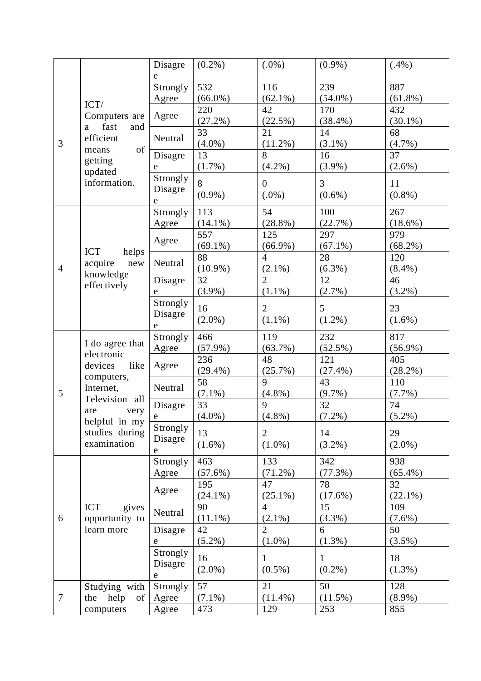|                |                                                                                                                | Disagre     | $(0.2\%)$  | $(.0\%)$         | $(0.9\%)$      | $(.4\%)$   |
|----------------|----------------------------------------------------------------------------------------------------------------|-------------|------------|------------------|----------------|------------|
|                |                                                                                                                | e           |            |                  |                |            |
|                |                                                                                                                | Strongly    | 532        | 116              | 239            | 887        |
|                |                                                                                                                | Agree       | $(66.0\%)$ | $(62.1\%)$       | $(54.0\%)$     | $(61.8\%)$ |
|                | ICT/                                                                                                           |             | 220        | 42               | 170            | 432        |
|                | Computers are                                                                                                  | Agree       | $(27.2\%)$ | (22.5%)          | $(38.4\%)$     | $(30.1\%)$ |
|                | fast<br>and<br>a                                                                                               |             | 33         | 21               | 14             | 68         |
| 3              | efficient<br>of                                                                                                | Neutral     | $(4.0\%)$  | $(11.2\%)$       | $(3.1\%)$      | $(4.7\%)$  |
|                | means<br>getting                                                                                               | Disagre     | 13         | $\overline{8}$   | 16             | 37         |
|                |                                                                                                                | e           | $(1.7\%)$  | $(4.2\%)$        | $(3.9\%)$      | $(2.6\%)$  |
|                | updated<br>information.                                                                                        | Strongly    | 8          | $\boldsymbol{0}$ | $\overline{3}$ | 11         |
|                |                                                                                                                | Disagre     | $(0.9\%)$  | $(.0\%)$         | $(0.6\%)$      | $(0.8\%)$  |
|                |                                                                                                                | e           |            |                  |                |            |
|                |                                                                                                                | Strongly    | 113        | 54               | 100            | 267        |
|                |                                                                                                                | Agree       | $(14.1\%)$ | $(28.8\%)$       | (22.7%)        | $(18.6\%)$ |
|                |                                                                                                                | Agree       | 557        | 125              | 297            | 979        |
|                | <b>ICT</b><br>helps                                                                                            |             | $(69.1\%)$ | $(66.9\%)$       | $(67.1\%)$     | $(68.2\%)$ |
|                | acquire<br>new                                                                                                 | Neutral     | 88         | $\overline{4}$   | 28             | 120        |
| $\overline{4}$ | knowledge                                                                                                      |             | $(10.9\%)$ | $(2.1\%)$        | $(6.3\%)$      | $(8.4\%)$  |
|                | effectively                                                                                                    | Disagre     | 32         | $\overline{2}$   | 12             | 46         |
|                |                                                                                                                | e           | $(3.9\%)$  | $(1.1\%)$        | $(2.7\%)$      | $(3.2\%)$  |
|                |                                                                                                                | Strongly    | 16         | $\overline{2}$   | 5              | 23         |
|                |                                                                                                                | Disagre     | $(2.0\%)$  | $(1.1\%)$        | $(1.2\%)$      | $(1.6\%)$  |
|                |                                                                                                                | e           |            |                  |                |            |
|                | I do agree that                                                                                                | Strongly    | 466        | 119              | 232            | 817        |
|                | electronic                                                                                                     | Agree       | $(57.9\%)$ | (63.7%)          | (52.5%)        | $(56.9\%)$ |
|                | like<br>devices<br>computers,<br>Internet,<br>Television all<br>are<br>very<br>helpful in my<br>studies during | Agree       | 236        | 48               | 121            | 405        |
|                |                                                                                                                |             | $(29.4\%)$ | (25.7%)          | $(27.4\%)$     | $(28.2\%)$ |
|                |                                                                                                                | Neutral     | 58         | 9                | 43             | 110        |
| 5              |                                                                                                                |             | $(7.1\%)$  | $(4.8\%)$        | $(9.7\%)$      | $(7.7\%)$  |
|                |                                                                                                                | Disagre     | 33         | 9                | 32             | 74         |
|                |                                                                                                                | e           | $(4.0\%)$  | $(4.8\%)$        | $(7.2\%)$      | $(5.2\%)$  |
|                |                                                                                                                | Strongly    | 13         | $\overline{2}$   | 14             | 29         |
|                | examination                                                                                                    | Disagre     | $(1.6\%)$  | $(1.0\%)$        | $(3.2\%)$      | $(2.0\%)$  |
|                |                                                                                                                | $\mathbf e$ |            |                  |                |            |
|                |                                                                                                                | Strongly    | 463        | 133              | 342            | 938        |
|                |                                                                                                                | Agree       | $(57.6\%)$ | $(71.2\%)$       | (77.3%)        | $(65.4\%)$ |
|                |                                                                                                                | Agree       | 195        | 47               | 78             | 32         |
|                |                                                                                                                |             | $(24.1\%)$ | $(25.1\%)$       | (17.6%)        | $(22.1\%)$ |
| 6              | <b>ICT</b><br>gives                                                                                            | Neutral     | 90         | $\overline{4}$   | 15             | 109        |
|                | opportunity to                                                                                                 |             | $(11.1\%)$ | $(2.1\%)$        | $(3.3\%)$      | $(7.6\%)$  |
|                | learn more                                                                                                     | Disagre     | 42         | $\overline{2}$   | 6              | 50         |
|                |                                                                                                                | $\mathbf e$ | $(5.2\%)$  | $(1.0\%)$        | $(1.3\%)$      | $(3.5\%)$  |
|                |                                                                                                                | Strongly    | 16         | $\mathbf{1}$     | 1              | 18         |
|                |                                                                                                                | Disagre     | $(2.0\%)$  | $(0.5\%)$        | $(0.2\%)$      | $(1.3\%)$  |
|                |                                                                                                                | e           |            |                  |                |            |
|                | Studying with                                                                                                  | Strongly    | 57         | 21               | 50             | 128        |
| $\overline{7}$ | help<br>the<br>of                                                                                              | Agree       | $(7.1\%)$  | $(11.4\%)$       | $(11.5\%)$     | $(8.9\%)$  |
|                | computers                                                                                                      | Agree       | 473        | 129              | 253            | 855        |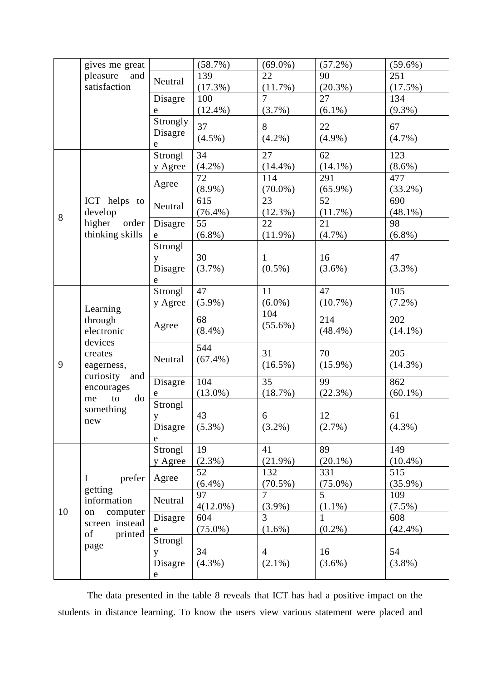|       | gives me great                                                                                                                                |             | (58.7%)     | $(69.0\%)$       | $(57.2\%)$     | $(59.6\%)$ |
|-------|-----------------------------------------------------------------------------------------------------------------------------------------------|-------------|-------------|------------------|----------------|------------|
|       | pleasure<br>and<br>satisfaction                                                                                                               | Neutral     | 139         | 22               | 90             | 251        |
|       |                                                                                                                                               |             | (17.3%)     | (11.7%)          | $(20.3\%)$     | $(17.5\%)$ |
|       |                                                                                                                                               | Disagre     | 100         | $\overline{7}$   | 27             | 134        |
|       |                                                                                                                                               | $\mathbf e$ | $(12.4\%)$  | (3.7%)           | $(6.1\%)$      | $(9.3\%)$  |
|       |                                                                                                                                               | Strongly    | 37          | 8                | 22             | 67         |
|       |                                                                                                                                               | Disagre     |             |                  | $(4.9\%)$      |            |
|       |                                                                                                                                               | $\mathbf e$ | $(4.5\%)$   | $(4.2\%)$        |                | $(4.7\%)$  |
|       |                                                                                                                                               | Strongl     | 34          | 27               | 62             | 123        |
|       |                                                                                                                                               | y Agree     | $(4.2\%)$   | $(14.4\%)$       | $(14.1\%)$     | $(8.6\%)$  |
|       |                                                                                                                                               |             | 72          | 114              | 291            | 477        |
|       |                                                                                                                                               | Agree       | $(8.9\%)$   | $(70.0\%)$       | $(65.9\%)$     | $(33.2\%)$ |
|       | ICT helps to                                                                                                                                  |             | 615         | 23               | 52             | 690        |
| $8\,$ | develop                                                                                                                                       | Neutral     | $(76.4\%)$  | $(12.3\%)$       | (11.7%)        | $(48.1\%)$ |
|       | higher<br>order                                                                                                                               | Disagre     | 55          | 22               | 21             | 98         |
|       | thinking skills                                                                                                                               | e           | $(6.8\%)$   | $(11.9\%)$       | $(4.7\%)$      | $(6.8\%)$  |
|       |                                                                                                                                               | Strongl     |             |                  |                |            |
|       |                                                                                                                                               | y           | 30          | $\mathbf{1}$     | 16             | 47         |
|       |                                                                                                                                               | Disagre     | $(3.7\%)$   | $(0.5\%)$        | $(3.6\%)$      | $(3.3\%)$  |
|       |                                                                                                                                               | $\mathbf e$ |             |                  |                |            |
|       | Learning<br>through<br>electronic<br>devices<br>creates<br>eagerness,<br>curiosity<br>and<br>encourages<br>to<br>do<br>me<br>something<br>new | Strongl     | 47          | 11               | 47             | 105        |
|       |                                                                                                                                               | y Agree     | $(5.9\%)$   | $(6.0\%)$        | $(10.7\%)$     | $(7.2\%)$  |
|       |                                                                                                                                               |             |             | 104              |                |            |
|       |                                                                                                                                               | Agree       | 68          | $(55.6\%)$       | 214            | 202        |
|       |                                                                                                                                               |             | $(8.4\%)$   |                  | $(48.4\%)$     | $(14.1\%)$ |
|       |                                                                                                                                               |             | 544         |                  |                |            |
|       |                                                                                                                                               | Neutral     | $(67.4\%)$  | 31               | 70             | 205        |
| 9     |                                                                                                                                               |             |             | $(16.5\%)$       | $(15.9\%)$     | $(14.3\%)$ |
|       |                                                                                                                                               | Disagre     | 104         | 35               | 99             | 862        |
|       |                                                                                                                                               | e           | $(13.0\%)$  | (18.7%)          | (22.3%)        | $(60.1\%)$ |
|       |                                                                                                                                               | Strongl     |             |                  |                |            |
|       |                                                                                                                                               | y           | 43          | $\boldsymbol{6}$ | 12             | 61         |
|       |                                                                                                                                               | Disagre     | $(5.3\%)$   | $(3.2\%)$        | $(2.7\%)$      | $(4.3\%)$  |
|       |                                                                                                                                               | e           |             |                  |                |            |
|       |                                                                                                                                               | Strongl     | 19          | 41               | 89             | 149        |
|       |                                                                                                                                               | y Agree     | $(2.3\%)$   | $(21.9\%)$       | $(20.1\%)$     | $(10.4\%)$ |
|       |                                                                                                                                               |             | 52          | 132              | 331            | 515        |
| 10    | prefer<br>$\bf{I}$                                                                                                                            | Agree       | $(6.4\%)$   | $(70.5\%)$       | $(75.0\%)$     | $(35.9\%)$ |
|       | getting                                                                                                                                       |             | 97          | $\overline{7}$   | $\overline{5}$ | 109        |
|       | information                                                                                                                                   | Neutral     | $4(12.0\%)$ | $(3.9\%)$        | $(1.1\%)$      | $(7.5\%)$  |
|       | computer<br>on                                                                                                                                | Disagre     | 604         | 3                | 1              | 608        |
|       | screen instead                                                                                                                                | e           | $(75.0\%)$  | $(1.6\%)$        | $(0.2\%)$      | $(42.4\%)$ |
|       | of<br>printed                                                                                                                                 | Strongl     |             |                  |                |            |
|       | page                                                                                                                                          | y           | 34          | $\overline{4}$   | 16             | 54         |
|       |                                                                                                                                               | Disagre     | $(4.3\%)$   | $(2.1\%)$        | $(3.6\%)$      | $(3.8\%)$  |
|       |                                                                                                                                               | ${\rm e}$   |             |                  |                |            |
|       |                                                                                                                                               |             |             |                  |                |            |

The data presented in the table 8 reveals that ICT has had a positive impact on the students in distance learning. To know the users view various statement were placed and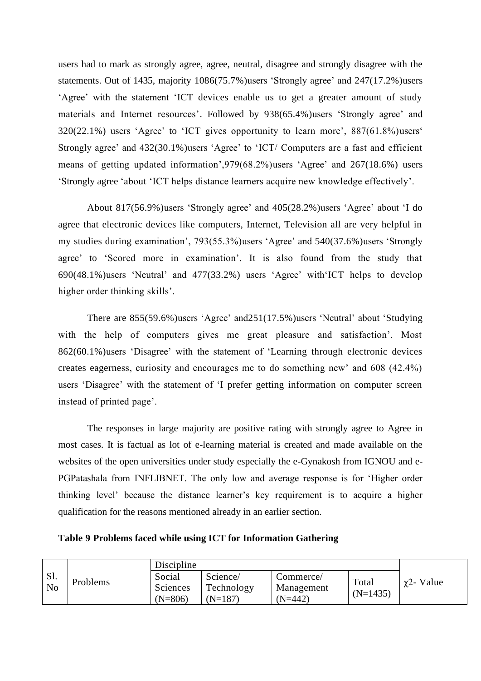users had to mark as strongly agree, agree, neutral, disagree and strongly disagree with the statements. Out of 1435, majority 1086(75.7%)users 'Strongly agree' and 247(17.2%)users 'Agree' with the statement 'ICT devices enable us to get a greater amount of study materials and Internet resources'. Followed by 938(65.4%)users 'Strongly agree' and 320(22.1%) users 'Agree' to 'ICT gives opportunity to learn more', 887(61.8%)users' Strongly agree' and 432(30.1%)users 'Agree' to 'ICT/ Computers are a fast and efficient means of getting updated information',979(68.2%)users 'Agree' and 267(18.6%) users 'Strongly agree 'about 'ICT helps distance learners acquire new knowledge effectively'.

About 817(56.9%)users 'Strongly agree' and 405(28.2%)users 'Agree' about 'I do agree that electronic devices like computers, Internet, Television all are very helpful in my studies during examination', 793(55.3%)users 'Agree' and 540(37.6%)users 'Strongly agree' to 'Scored more in examination'. It is also found from the study that 690(48.1%)users 'Neutral' and 477(33.2%) users 'Agree' with'ICT helps to develop higher order thinking skills'.

There are 855(59.6%)users 'Agree' and251(17.5%)users 'Neutral' about 'Studying with the help of computers gives me great pleasure and satisfaction'. Most 862(60.1%)users 'Disagree' with the statement of 'Learning through electronic devices creates eagerness, curiosity and encourages me to do something new' and 608 (42.4%) users 'Disagree' with the statement of 'I prefer getting information on computer screen instead of printed page'.

The responses in large majority are positive rating with strongly agree to Agree in most cases. It is factual as lot of e-learning material is created and made available on the websites of the open universities under study especially the e-Gynakosh from IGNOU and e-PGPatashala from INFLIBNET. The only low and average response is for 'Higher order thinking level' because the distance learner's key requirement is to acquire a higher qualification for the reasons mentioned already in an earlier section.

#### **Table 9 Problems faced while using ICT for Information Gathering**

|                       |          | Discipline                      |                                   |                                      |                     |                   |
|-----------------------|----------|---------------------------------|-----------------------------------|--------------------------------------|---------------------|-------------------|
| Sl.<br>N <sub>0</sub> | Problems | Social<br>Sciences<br>$(N=806)$ | Science/<br>Technology<br>(N=187) | Commerce/<br>Management<br>$(N=442)$ | Total<br>$(N=1435)$ | $\gamma$ 2- Value |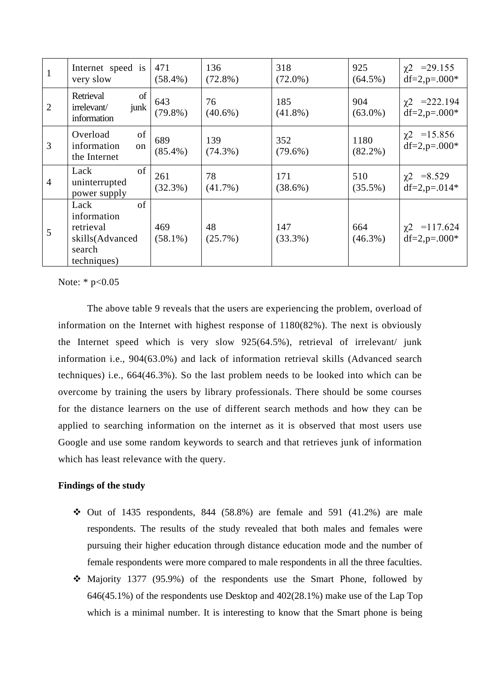| $\mathbf{1}$   | Internet speed is<br>very slow                                                     | 471<br>$(58.4\%)$ | 136<br>$(72.8\%)$ | 318<br>$(72.0\%)$ | 925<br>$(64.5\%)$  | $\chi$ 2 = 29.155<br>$df=2$ , $p=.000*$  |
|----------------|------------------------------------------------------------------------------------|-------------------|-------------------|-------------------|--------------------|------------------------------------------|
| $\overline{2}$ | of<br>Retrieval<br>junk<br>irrelevant/<br>information                              | 643<br>$(79.8\%)$ | 76<br>$(40.6\%)$  | 185<br>$(41.8\%)$ | 904<br>$(63.0\%)$  | $\chi$ 2 = 222.194<br>$df=2$ , $p=.000*$ |
| 3              | of<br>Overload<br>information<br>on<br>the Internet                                | 689<br>$(85.4\%)$ | 139<br>$(74.3\%)$ | 352<br>$(79.6\%)$ | 1180<br>$(82.2\%)$ | $\chi$ 2 = 15.856<br>$df=2$ , $p=.000*$  |
| $\overline{4}$ | of<br>Lack<br>uninterrupted<br>power supply                                        | 261<br>$(32.3\%)$ | 78<br>$(41.7\%)$  | 171<br>$(38.6\%)$ | 510<br>$(35.5\%)$  | $\chi$ 2 = 8.529<br>$df=2$ , $p=.014*$   |
| 5              | of<br>Lack<br>information<br>retrieval<br>skills(Advanced<br>search<br>techniques) | 469<br>$(58.1\%)$ | 48<br>$(25.7\%)$  | 147<br>$(33.3\%)$ | 664<br>$(46.3\%)$  | $\chi$ 2 = 117.624<br>$df=2$ , $p=.000*$ |

Note:  $*$  p<0.05

The above table 9 reveals that the users are experiencing the problem, overload of information on the Internet with highest response of 1180(82%). The next is obviously the Internet speed which is very slow 925(64.5%), retrieval of irrelevant/ junk information i.e., 904(63.0%) and lack of information retrieval skills (Advanced search techniques) i.e., 664(46.3%). So the last problem needs to be looked into which can be overcome by training the users by library professionals. There should be some courses for the distance learners on the use of different search methods and how they can be applied to searching information on the internet as it is observed that most users use Google and use some random keywords to search and that retrieves junk of information which has least relevance with the query.

#### **Findings of the study**

- $\div$  Out of 1435 respondents, 844 (58.8%) are female and 591 (41.2%) are male respondents. The results of the study revealed that both males and females were pursuing their higher education through distance education mode and the number of female respondents were more compared to male respondents in all the three faculties.
- ❖ Majority 1377 (95.9%) of the respondents use the Smart Phone, followed by 646(45.1%) of the respondents use Desktop and 402(28.1%) make use of the Lap Top which is a minimal number. It is interesting to know that the Smart phone is being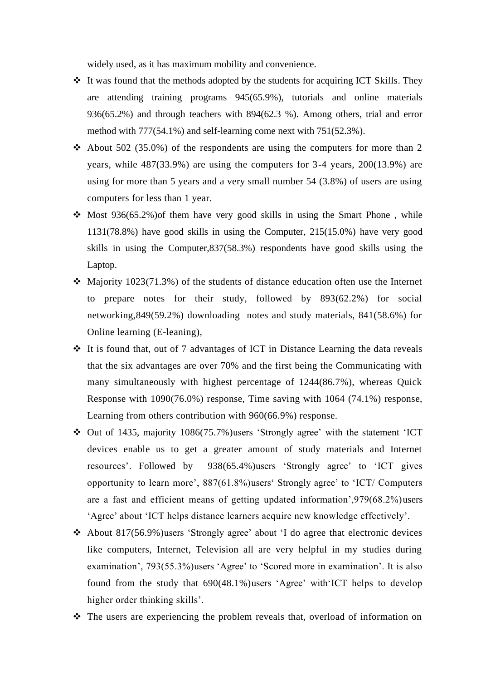widely used, as it has maximum mobility and convenience.

- ❖ It was found that the methods adopted by the students for acquiring ICT Skills. They are attending training programs 945(65.9%), tutorials and online materials 936(65.2%) and through teachers with 894(62.3 %). Among others, trial and error method with 777(54.1%) and self-learning come next with 751(52.3%).
- $\triangleleft$  About 502 (35.0%) of the respondents are using the computers for more than 2 years, while 487(33.9%) are using the computers for 3-4 years, 200(13.9%) are using for more than 5 years and a very small number 54 (3.8%) of users are using computers for less than 1 year.
- $\div$  Most 936(65.2%) of them have very good skills in using the Smart Phone, while 1131(78.8%) have good skills in using the Computer, 215(15.0%) have very good skills in using the Computer,837(58.3%) respondents have good skills using the Laptop.
- ❖ Majority 1023(71.3%) of the students of distance education often use the Internet to prepare notes for their study, followed by 893(62.2%) for social networking,849(59.2%) downloading notes and study materials, 841(58.6%) for Online learning (E-leaning),
- ❖ It is found that, out of 7 advantages of ICT in Distance Learning the data reveals that the six advantages are over 70% and the first being the Communicating with many simultaneously with highest percentage of 1244(86.7%), whereas Quick Response with 1090(76.0%) response, Time saving with 1064 (74.1%) response, Learning from others contribution with 960(66.9%) response.
- ❖ Out of 1435, majority 1086(75.7%)users 'Strongly agree' with the statement 'ICT devices enable us to get a greater amount of study materials and Internet resources'. Followed by 938(65.4%)users 'Strongly agree' to 'ICT gives opportunity to learn more', 887(61.8%)users' Strongly agree' to 'ICT/ Computers are a fast and efficient means of getting updated information',979(68.2%)users 'Agree' about 'ICT helps distance learners acquire new knowledge effectively'.
- ❖ About 817(56.9%)users 'Strongly agree' about 'I do agree that electronic devices like computers, Internet, Television all are very helpful in my studies during examination', 793(55.3%)users 'Agree' to 'Scored more in examination'. It is also found from the study that 690(48.1%)users 'Agree' with'ICT helps to develop higher order thinking skills'.
- ❖ The users are experiencing the problem reveals that, overload of information on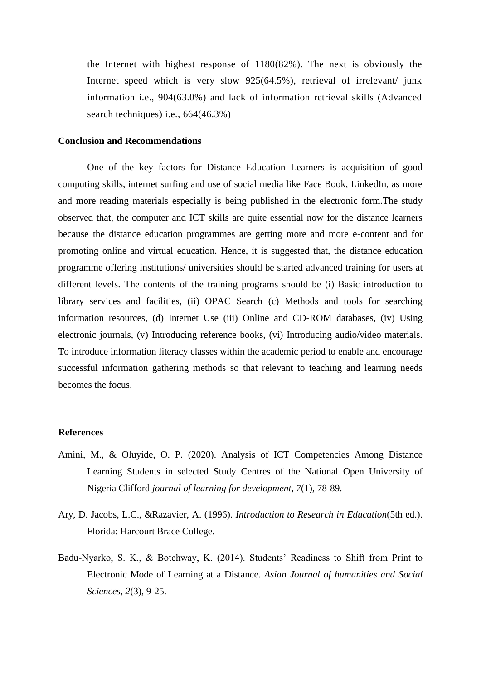the Internet with highest response of 1180(82%). The next is obviously the Internet speed which is very slow 925(64.5%), retrieval of irrelevant/ junk information i.e., 904(63.0%) and lack of information retrieval skills (Advanced search techniques) i.e., 664(46.3%)

#### **Conclusion and Recommendations**

One of the key factors for Distance Education Learners is acquisition of good computing skills, internet surfing and use of social media like Face Book, LinkedIn, as more and more reading materials especially is being published in the electronic form.The study observed that, the computer and ICT skills are quite essential now for the distance learners because the distance education programmes are getting more and more e-content and for promoting online and virtual education. Hence, it is suggested that, the distance education programme offering institutions/ universities should be started advanced training for users at different levels. The contents of the training programs should be (i) Basic introduction to library services and facilities, (ii) OPAC Search (c) Methods and tools for searching information resources, (d) Internet Use (iii) Online and CD-ROM databases, (iv) Using electronic journals, (v) Introducing reference books, (vi) Introducing audio/video materials. To introduce information literacy classes within the academic period to enable and encourage successful information gathering methods so that relevant to teaching and learning needs becomes the focus.

#### **References**

- Amini, M., & Oluyide, O. P. (2020). Analysis of ICT Competencies Among Distance Learning Students in selected Study Centres of the National Open University of Nigeria Clifford *journal of learning for development, 7*(1), 78-89.
- Ary, D. Jacobs, L.C., &Razavier, A. (1996). *Introduction to Research in Education*(5th ed.). Florida: Harcourt Brace College.
- Badu-Nyarko, S. K., & Botchway, K. (2014). Students' Readiness to Shift from Print to Electronic Mode of Learning at a Distance. *Asian Journal of humanities and Social Sciences, 2*(3), 9-25.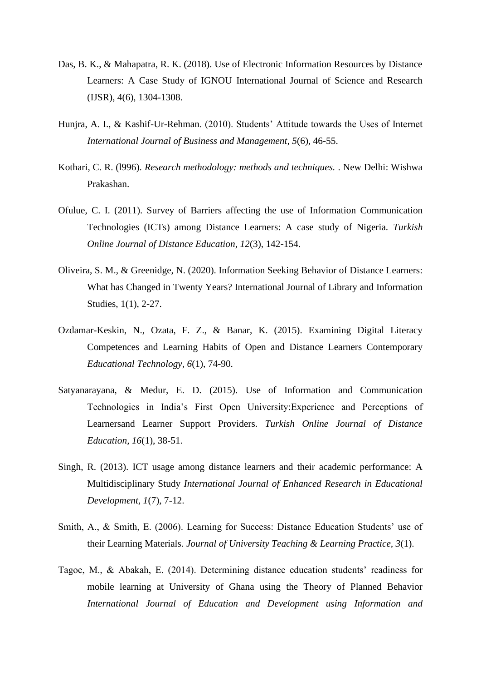- Das, B. K., & Mahapatra, R. K. (2018). Use of Electronic Information Resources by Distance Learners: A Case Study of IGNOU International Journal of Science and Research (IJSR), 4(6), 1304-1308.
- Hunjra, A. I., & Kashif-Ur-Rehman. (2010). Students' Attitude towards the Uses of Internet *International Journal of Business and Management, 5*(6), 46-55.
- Kothari, C. R. (l996). *Research methodology: methods and techniques.* . New Delhi: Wishwa Prakashan.
- Ofulue, C. I. (2011). Survey of Barriers affecting the use of Information Communication Technologies (ICTs) among Distance Learners: A case study of Nigeria. *Turkish Online Journal of Distance Education, 12*(3), 142-154.
- Oliveira, S. M., & Greenidge, N. (2020). Information Seeking Behavior of Distance Learners: What has Changed in Twenty Years? International Journal of Library and Information Studies, 1(1), 2-27.
- Ozdamar-Keskin, N., Ozata, F. Z., & Banar, K. (2015). Examining Digital Literacy Competences and Learning Habits of Open and Distance Learners Contemporary *Educational Technology, 6*(1), 74-90.
- Satyanarayana, & Medur, E. D. (2015). Use of Information and Communication Technologies in India's First Open University:Experience and Perceptions of Learnersand Learner Support Providers. *Turkish Online Journal of Distance Education, 16*(1), 38-51.
- Singh, R. (2013). ICT usage among distance learners and their academic performance: A Multidisciplinary Study *International Journal of Enhanced Research in Educational Development, 1*(7), 7-12.
- Smith, A., & Smith, E. (2006). Learning for Success: Distance Education Students' use of their Learning Materials. *Journal of University Teaching & Learning Practice, 3*(1).
- Tagoe, M., & Abakah, E. (2014). Determining distance education students' readiness for mobile learning at University of Ghana using the Theory of Planned Behavior *International Journal of Education and Development using Information and*